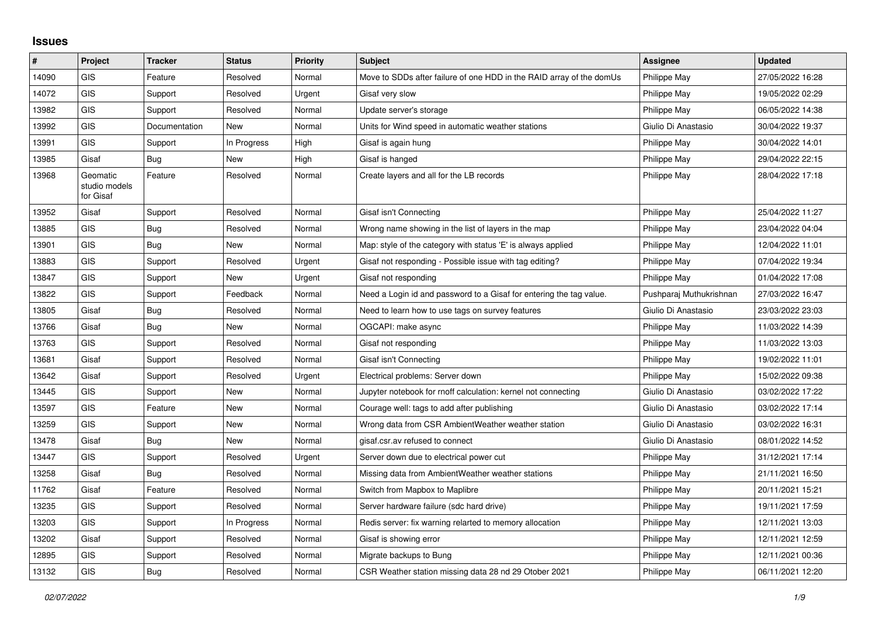## **Issues**

| $\#$  | Project                                | <b>Tracker</b> | <b>Status</b> | Priority | <b>Subject</b>                                                       | Assignee                | <b>Updated</b>   |
|-------|----------------------------------------|----------------|---------------|----------|----------------------------------------------------------------------|-------------------------|------------------|
| 14090 | GIS                                    | Feature        | Resolved      | Normal   | Move to SDDs after failure of one HDD in the RAID array of the domUs | Philippe May            | 27/05/2022 16:28 |
| 14072 | GIS                                    | Support        | Resolved      | Urgent   | Gisaf very slow                                                      | Philippe May            | 19/05/2022 02:29 |
| 13982 | <b>GIS</b>                             | Support        | Resolved      | Normal   | Update server's storage                                              | Philippe May            | 06/05/2022 14:38 |
| 13992 | <b>GIS</b>                             | Documentation  | <b>New</b>    | Normal   | Units for Wind speed in automatic weather stations                   | Giulio Di Anastasio     | 30/04/2022 19:37 |
| 13991 | <b>GIS</b>                             | Support        | In Progress   | High     | Gisaf is again hung                                                  | Philippe May            | 30/04/2022 14:01 |
| 13985 | Gisaf                                  | Bug            | New           | High     | Gisaf is hanged                                                      | Philippe May            | 29/04/2022 22:15 |
| 13968 | Geomatic<br>studio models<br>for Gisaf | Feature        | Resolved      | Normal   | Create layers and all for the LB records                             | Philippe May            | 28/04/2022 17:18 |
| 13952 | Gisaf                                  | Support        | Resolved      | Normal   | Gisaf isn't Connecting                                               | Philippe May            | 25/04/2022 11:27 |
| 13885 | <b>GIS</b>                             | Bug            | Resolved      | Normal   | Wrong name showing in the list of layers in the map                  | Philippe May            | 23/04/2022 04:04 |
| 13901 | <b>GIS</b>                             | Bug            | New           | Normal   | Map: style of the category with status 'E' is always applied         | Philippe May            | 12/04/2022 11:01 |
| 13883 | <b>GIS</b>                             | Support        | Resolved      | Urgent   | Gisaf not responding - Possible issue with tag editing?              | Philippe May            | 07/04/2022 19:34 |
| 13847 | GIS                                    | Support        | New           | Urgent   | Gisaf not responding                                                 | Philippe May            | 01/04/2022 17:08 |
| 13822 | <b>GIS</b>                             | Support        | Feedback      | Normal   | Need a Login id and password to a Gisaf for entering the tag value.  | Pushparaj Muthukrishnan | 27/03/2022 16:47 |
| 13805 | Gisaf                                  | <b>Bug</b>     | Resolved      | Normal   | Need to learn how to use tags on survey features                     | Giulio Di Anastasio     | 23/03/2022 23:03 |
| 13766 | Gisaf                                  | Bug            | New           | Normal   | OGCAPI: make async                                                   | Philippe May            | 11/03/2022 14:39 |
| 13763 | GIS                                    | Support        | Resolved      | Normal   | Gisaf not responding                                                 | <b>Philippe May</b>     | 11/03/2022 13:03 |
| 13681 | Gisaf                                  | Support        | Resolved      | Normal   | Gisaf isn't Connecting                                               | Philippe May            | 19/02/2022 11:01 |
| 13642 | Gisaf                                  | Support        | Resolved      | Urgent   | Electrical problems: Server down                                     | Philippe May            | 15/02/2022 09:38 |
| 13445 | <b>GIS</b>                             | Support        | New           | Normal   | Jupyter notebook for rnoff calculation: kernel not connecting        | Giulio Di Anastasio     | 03/02/2022 17:22 |
| 13597 | <b>GIS</b>                             | Feature        | New           | Normal   | Courage well: tags to add after publishing                           | Giulio Di Anastasio     | 03/02/2022 17:14 |
| 13259 | <b>GIS</b>                             | Support        | <b>New</b>    | Normal   | Wrong data from CSR AmbientWeather weather station                   | Giulio Di Anastasio     | 03/02/2022 16:31 |
| 13478 | Gisaf                                  | Bug            | New           | Normal   | gisaf.csr.av refused to connect                                      | Giulio Di Anastasio     | 08/01/2022 14:52 |
| 13447 | <b>GIS</b>                             | Support        | Resolved      | Urgent   | Server down due to electrical power cut                              | Philippe May            | 31/12/2021 17:14 |
| 13258 | Gisaf                                  | <b>Bug</b>     | Resolved      | Normal   | Missing data from AmbientWeather weather stations                    | Philippe May            | 21/11/2021 16:50 |
| 11762 | Gisaf                                  | Feature        | Resolved      | Normal   | Switch from Mapbox to Maplibre                                       | Philippe May            | 20/11/2021 15:21 |
| 13235 | <b>GIS</b>                             | Support        | Resolved      | Normal   | Server hardware failure (sdc hard drive)                             | <b>Philippe May</b>     | 19/11/2021 17:59 |
| 13203 | GIS                                    | Support        | In Progress   | Normal   | Redis server: fix warning relarted to memory allocation              | Philippe May            | 12/11/2021 13:03 |
| 13202 | Gisaf                                  | Support        | Resolved      | Normal   | Gisaf is showing error                                               | Philippe May            | 12/11/2021 12:59 |
| 12895 | GIS                                    | Support        | Resolved      | Normal   | Migrate backups to Bung                                              | Philippe May            | 12/11/2021 00:36 |
| 13132 | GIS                                    | Bug            | Resolved      | Normal   | CSR Weather station missing data 28 nd 29 Otober 2021                | Philippe May            | 06/11/2021 12:20 |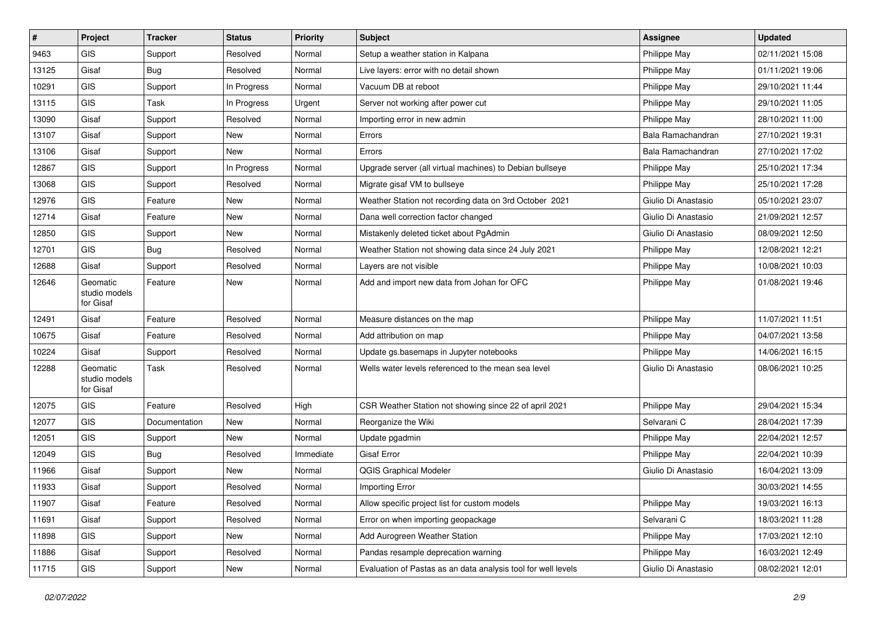| #     | Project                                | <b>Tracker</b> | <b>Status</b> | <b>Priority</b> | Subject                                                       | <b>Assignee</b>     | <b>Updated</b>   |
|-------|----------------------------------------|----------------|---------------|-----------------|---------------------------------------------------------------|---------------------|------------------|
| 9463  | GIS                                    | Support        | Resolved      | Normal          | Setup a weather station in Kalpana                            | Philippe May        | 02/11/2021 15:08 |
| 13125 | Gisaf                                  | Bug            | Resolved      | Normal          | Live layers: error with no detail shown                       | Philippe May        | 01/11/2021 19:06 |
| 10291 | <b>GIS</b>                             | Support        | In Progress   | Normal          | Vacuum DB at reboot                                           | Philippe May        | 29/10/2021 11:44 |
| 13115 | GIS                                    | Task           | In Progress   | Urgent          | Server not working after power cut                            | Philippe May        | 29/10/2021 11:05 |
| 13090 | Gisaf                                  | Support        | Resolved      | Normal          | Importing error in new admin                                  | Philippe May        | 28/10/2021 11:00 |
| 13107 | Gisaf                                  | Support        | New           | Normal          | Errors                                                        | Bala Ramachandran   | 27/10/2021 19:31 |
| 13106 | Gisaf                                  | Support        | New           | Normal          | Errors                                                        | Bala Ramachandran   | 27/10/2021 17:02 |
| 12867 | GIS                                    | Support        | In Progress   | Normal          | Upgrade server (all virtual machines) to Debian bullseye      | Philippe May        | 25/10/2021 17:34 |
| 13068 | GIS                                    | Support        | Resolved      | Normal          | Migrate gisaf VM to bullseye                                  | Philippe May        | 25/10/2021 17:28 |
| 12976 | <b>GIS</b>                             | Feature        | New           | Normal          | Weather Station not recording data on 3rd October 2021        | Giulio Di Anastasio | 05/10/2021 23:07 |
| 12714 | Gisaf                                  | Feature        | New           | Normal          | Dana well correction factor changed                           | Giulio Di Anastasio | 21/09/2021 12:57 |
| 12850 | GIS                                    | Support        | New           | Normal          | Mistakenly deleted ticket about PgAdmin                       | Giulio Di Anastasio | 08/09/2021 12:50 |
| 12701 | GIS                                    | Bug            | Resolved      | Normal          | Weather Station not showing data since 24 July 2021           | Philippe May        | 12/08/2021 12:21 |
| 12688 | Gisaf                                  | Support        | Resolved      | Normal          | Layers are not visible                                        | Philippe May        | 10/08/2021 10:03 |
| 12646 | Geomatic<br>studio models<br>for Gisaf | Feature        | New           | Normal          | Add and import new data from Johan for OFC                    | Philippe May        | 01/08/2021 19:46 |
| 12491 | Gisaf                                  | Feature        | Resolved      | Normal          | Measure distances on the map                                  | Philippe May        | 11/07/2021 11:51 |
| 10675 | Gisaf                                  | Feature        | Resolved      | Normal          | Add attribution on map                                        | Philippe May        | 04/07/2021 13:58 |
| 10224 | Gisaf                                  | Support        | Resolved      | Normal          | Update gs.basemaps in Jupyter notebooks                       | Philippe May        | 14/06/2021 16:15 |
| 12288 | Geomatic<br>studio models<br>for Gisaf | Task           | Resolved      | Normal          | Wells water levels referenced to the mean sea level           | Giulio Di Anastasio | 08/06/2021 10:25 |
| 12075 | GIS                                    | Feature        | Resolved      | High            | CSR Weather Station not showing since 22 of april 2021        | Philippe May        | 29/04/2021 15:34 |
| 12077 | GIS                                    | Documentation  | New           | Normal          | Reorganize the Wiki                                           | Selvarani C         | 28/04/2021 17:39 |
| 12051 | GIS                                    | Support        | New           | Normal          | Update pgadmin                                                | Philippe May        | 22/04/2021 12:57 |
| 12049 | <b>GIS</b>                             | Bug            | Resolved      | Immediate       | <b>Gisaf Error</b>                                            | Philippe May        | 22/04/2021 10:39 |
| 11966 | Gisaf                                  | Support        | New           | Normal          | <b>QGIS Graphical Modeler</b>                                 | Giulio Di Anastasio | 16/04/2021 13:09 |
| 11933 | Gisaf                                  | Support        | Resolved      | Normal          | Importing Error                                               |                     | 30/03/2021 14:55 |
| 11907 | Gisaf                                  | Feature        | Resolved      | Normal          | Allow specific project list for custom models                 | Philippe May        | 19/03/2021 16:13 |
| 11691 | Gisaf                                  | Support        | Resolved      | Normal          | Error on when importing geopackage                            | Selvarani C         | 18/03/2021 11:28 |
| 11898 | GIS                                    | Support        | New           | Normal          | Add Aurogreen Weather Station                                 | Philippe May        | 17/03/2021 12:10 |
| 11886 | Gisaf                                  | Support        | Resolved      | Normal          | Pandas resample deprecation warning                           | Philippe May        | 16/03/2021 12:49 |
| 11715 | GIS                                    | Support        | New           | Normal          | Evaluation of Pastas as an data analysis tool for well levels | Giulio Di Anastasio | 08/02/2021 12:01 |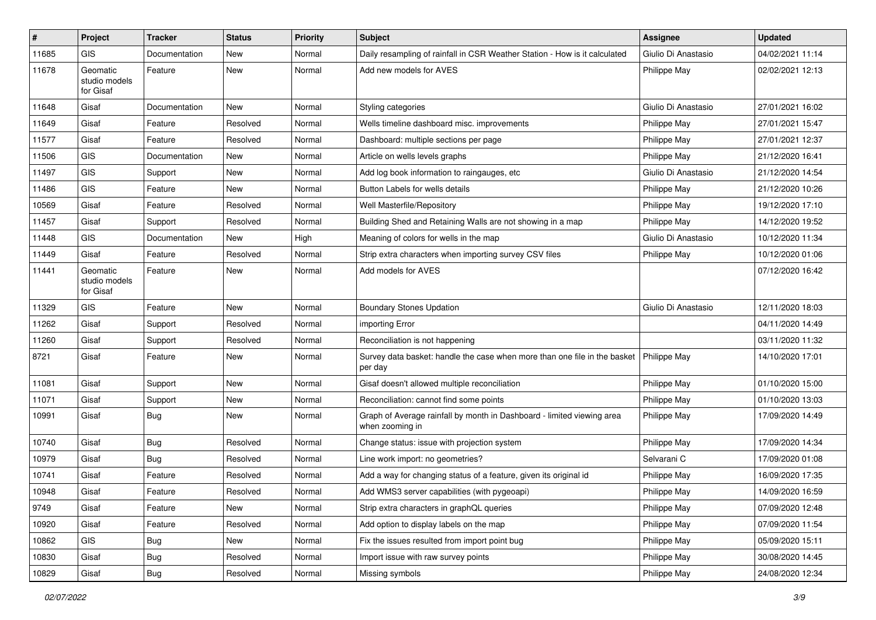| #     | Project                                | <b>Tracker</b> | <b>Status</b> | <b>Priority</b> | <b>Subject</b>                                                                            | <b>Assignee</b>     | <b>Updated</b>   |
|-------|----------------------------------------|----------------|---------------|-----------------|-------------------------------------------------------------------------------------------|---------------------|------------------|
| 11685 | <b>GIS</b>                             | Documentation  | <b>New</b>    | Normal          | Daily resampling of rainfall in CSR Weather Station - How is it calculated                | Giulio Di Anastasio | 04/02/2021 11:14 |
| 11678 | Geomatic<br>studio models<br>for Gisaf | Feature        | <b>New</b>    | Normal          | Add new models for AVES                                                                   | Philippe May        | 02/02/2021 12:13 |
| 11648 | Gisaf                                  | Documentation  | <b>New</b>    | Normal          | Styling categories                                                                        | Giulio Di Anastasio | 27/01/2021 16:02 |
| 11649 | Gisaf                                  | Feature        | Resolved      | Normal          | Wells timeline dashboard misc. improvements                                               | <b>Philippe May</b> | 27/01/2021 15:47 |
| 11577 | Gisaf                                  | Feature        | Resolved      | Normal          | Dashboard: multiple sections per page                                                     | Philippe May        | 27/01/2021 12:37 |
| 11506 | <b>GIS</b>                             | Documentation  | New           | Normal          | Article on wells levels graphs                                                            | Philippe May        | 21/12/2020 16:41 |
| 11497 | <b>GIS</b>                             | Support        | New           | Normal          | Add log book information to raingauges, etc                                               | Giulio Di Anastasio | 21/12/2020 14:54 |
| 11486 | <b>GIS</b>                             | Feature        | New           | Normal          | Button Labels for wells details                                                           | Philippe May        | 21/12/2020 10:26 |
| 10569 | Gisaf                                  | Feature        | Resolved      | Normal          | Well Masterfile/Repository                                                                | Philippe May        | 19/12/2020 17:10 |
| 11457 | Gisaf                                  | Support        | Resolved      | Normal          | Building Shed and Retaining Walls are not showing in a map                                | Philippe May        | 14/12/2020 19:52 |
| 11448 | <b>GIS</b>                             | Documentation  | New           | High            | Meaning of colors for wells in the map                                                    | Giulio Di Anastasio | 10/12/2020 11:34 |
| 11449 | Gisaf                                  | Feature        | Resolved      | Normal          | Strip extra characters when importing survey CSV files                                    | Philippe May        | 10/12/2020 01:06 |
| 11441 | Geomatic<br>studio models<br>for Gisaf | Feature        | New           | Normal          | Add models for AVES                                                                       |                     | 07/12/2020 16:42 |
| 11329 | <b>GIS</b>                             | Feature        | <b>New</b>    | Normal          | <b>Boundary Stones Updation</b>                                                           | Giulio Di Anastasio | 12/11/2020 18:03 |
| 11262 | Gisaf                                  | Support        | Resolved      | Normal          | importing Error                                                                           |                     | 04/11/2020 14:49 |
| 11260 | Gisaf                                  | Support        | Resolved      | Normal          | Reconciliation is not happening                                                           |                     | 03/11/2020 11:32 |
| 8721  | Gisaf                                  | Feature        | New           | Normal          | Survey data basket: handle the case when more than one file in the basket<br>per day      | Philippe May        | 14/10/2020 17:01 |
| 11081 | Gisaf                                  | Support        | <b>New</b>    | Normal          | Gisaf doesn't allowed multiple reconciliation                                             | Philippe May        | 01/10/2020 15:00 |
| 11071 | Gisaf                                  | Support        | New           | Normal          | Reconciliation: cannot find some points                                                   | Philippe May        | 01/10/2020 13:03 |
| 10991 | Gisaf                                  | <b>Bug</b>     | New           | Normal          | Graph of Average rainfall by month in Dashboard - limited viewing area<br>when zooming in | <b>Philippe May</b> | 17/09/2020 14:49 |
| 10740 | Gisaf                                  | Bug            | Resolved      | Normal          | Change status: issue with projection system                                               | Philippe May        | 17/09/2020 14:34 |
| 10979 | Gisaf                                  | <b>Bug</b>     | Resolved      | Normal          | Line work import: no geometries?                                                          | Selvarani C         | 17/09/2020 01:08 |
| 10741 | Gisaf                                  | Feature        | Resolved      | Normal          | Add a way for changing status of a feature, given its original id                         | Philippe May        | 16/09/2020 17:35 |
| 10948 | Gisaf                                  | Feature        | Resolved      | Normal          | Add WMS3 server capabilities (with pygeoapi)                                              | Philippe May        | 14/09/2020 16:59 |
| 9749  | Gisaf                                  | Feature        | New           | Normal          | Strip extra characters in graphQL queries                                                 | Philippe May        | 07/09/2020 12:48 |
| 10920 | Gisaf                                  | Feature        | Resolved      | Normal          | Add option to display labels on the map                                                   | Philippe May        | 07/09/2020 11:54 |
| 10862 | GIS                                    | <b>Bug</b>     | New           | Normal          | Fix the issues resulted from import point bug                                             | Philippe May        | 05/09/2020 15:11 |
| 10830 | Gisaf                                  | <b>Bug</b>     | Resolved      | Normal          | Import issue with raw survey points                                                       | Philippe May        | 30/08/2020 14:45 |
| 10829 | Gisaf                                  | Bug            | Resolved      | Normal          | Missing symbols                                                                           | Philippe May        | 24/08/2020 12:34 |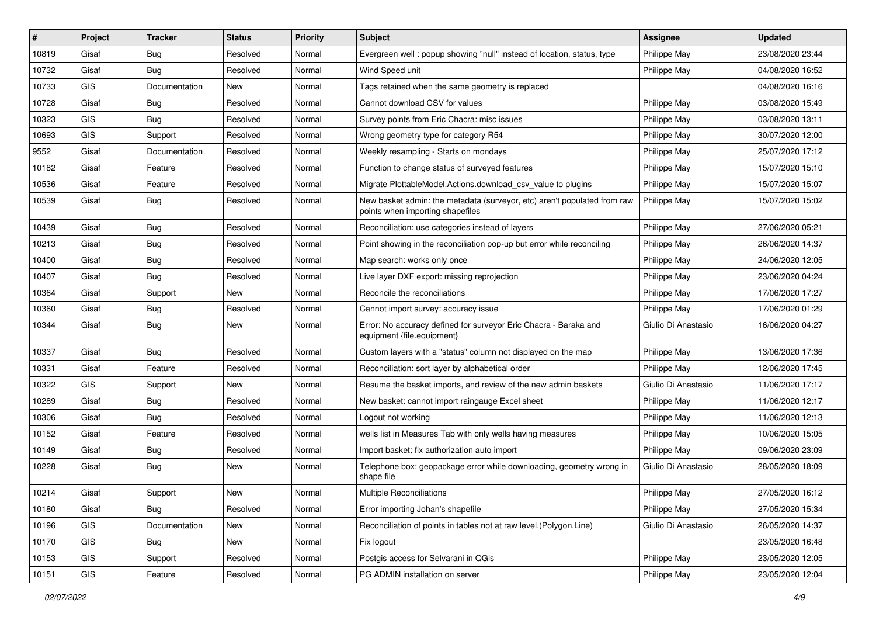| #     | Project    | <b>Tracker</b> | <b>Status</b> | <b>Priority</b> | Subject                                                                                                      | <b>Assignee</b>     | <b>Updated</b>   |
|-------|------------|----------------|---------------|-----------------|--------------------------------------------------------------------------------------------------------------|---------------------|------------------|
| 10819 | Gisaf      | Bug            | Resolved      | Normal          | Evergreen well: popup showing "null" instead of location, status, type                                       | Philippe May        | 23/08/2020 23:44 |
| 10732 | Gisaf      | Bug            | Resolved      | Normal          | Wind Speed unit                                                                                              | Philippe May        | 04/08/2020 16:52 |
| 10733 | <b>GIS</b> | Documentation  | New           | Normal          | Tags retained when the same geometry is replaced                                                             |                     | 04/08/2020 16:16 |
| 10728 | Gisaf      | <b>Bug</b>     | Resolved      | Normal          | Cannot download CSV for values                                                                               | Philippe May        | 03/08/2020 15:49 |
| 10323 | GIS        | Bug            | Resolved      | Normal          | Survey points from Eric Chacra: misc issues                                                                  | Philippe May        | 03/08/2020 13:11 |
| 10693 | <b>GIS</b> | Support        | Resolved      | Normal          | Wrong geometry type for category R54                                                                         | Philippe May        | 30/07/2020 12:00 |
| 9552  | Gisaf      | Documentation  | Resolved      | Normal          | Weekly resampling - Starts on mondays                                                                        | Philippe May        | 25/07/2020 17:12 |
| 10182 | Gisaf      | Feature        | Resolved      | Normal          | Function to change status of surveyed features                                                               | Philippe May        | 15/07/2020 15:10 |
| 10536 | Gisaf      | Feature        | Resolved      | Normal          | Migrate PlottableModel.Actions.download csv value to plugins                                                 | Philippe May        | 15/07/2020 15:07 |
| 10539 | Gisaf      | Bug            | Resolved      | Normal          | New basket admin: the metadata (surveyor, etc) aren't populated from raw<br>points when importing shapefiles | Philippe May        | 15/07/2020 15:02 |
| 10439 | Gisaf      | <b>Bug</b>     | Resolved      | Normal          | Reconciliation: use categories instead of layers                                                             | Philippe May        | 27/06/2020 05:21 |
| 10213 | Gisaf      | <b>Bug</b>     | Resolved      | Normal          | Point showing in the reconciliation pop-up but error while reconciling                                       | Philippe May        | 26/06/2020 14:37 |
| 10400 | Gisaf      | <b>Bug</b>     | Resolved      | Normal          | Map search: works only once                                                                                  | Philippe May        | 24/06/2020 12:05 |
| 10407 | Gisaf      | Bug            | Resolved      | Normal          | Live layer DXF export: missing reprojection                                                                  | Philippe May        | 23/06/2020 04:24 |
| 10364 | Gisaf      | Support        | New           | Normal          | Reconcile the reconciliations                                                                                | Philippe May        | 17/06/2020 17:27 |
| 10360 | Gisaf      | <b>Bug</b>     | Resolved      | Normal          | Cannot import survey: accuracy issue                                                                         | Philippe May        | 17/06/2020 01:29 |
| 10344 | Gisaf      | Bug            | New           | Normal          | Error: No accuracy defined for surveyor Eric Chacra - Baraka and<br>equipment {file.equipment}               | Giulio Di Anastasio | 16/06/2020 04:27 |
| 10337 | Gisaf      | <b>Bug</b>     | Resolved      | Normal          | Custom layers with a "status" column not displayed on the map                                                | Philippe May        | 13/06/2020 17:36 |
| 10331 | Gisaf      | Feature        | Resolved      | Normal          | Reconciliation: sort layer by alphabetical order                                                             | Philippe May        | 12/06/2020 17:45 |
| 10322 | <b>GIS</b> | Support        | New           | Normal          | Resume the basket imports, and review of the new admin baskets                                               | Giulio Di Anastasio | 11/06/2020 17:17 |
| 10289 | Gisaf      | <b>Bug</b>     | Resolved      | Normal          | New basket: cannot import raingauge Excel sheet                                                              | Philippe May        | 11/06/2020 12:17 |
| 10306 | Gisaf      | <b>Bug</b>     | Resolved      | Normal          | Logout not working                                                                                           | Philippe May        | 11/06/2020 12:13 |
| 10152 | Gisaf      | Feature        | Resolved      | Normal          | wells list in Measures Tab with only wells having measures                                                   | Philippe May        | 10/06/2020 15:05 |
| 10149 | Gisaf      | Bug            | Resolved      | Normal          | Import basket: fix authorization auto import                                                                 | Philippe May        | 09/06/2020 23:09 |
| 10228 | Gisaf      | Bug            | New           | Normal          | Telephone box: geopackage error while downloading, geometry wrong in<br>shape file                           | Giulio Di Anastasio | 28/05/2020 18:09 |
| 10214 | Gisaf      | Support        | New           | Normal          | Multiple Reconciliations                                                                                     | Philippe May        | 27/05/2020 16:12 |
| 10180 | Gisaf      | Bug            | Resolved      | Normal          | Error importing Johan's shapefile                                                                            | Philippe May        | 27/05/2020 15:34 |
| 10196 | GIS        | Documentation  | New           | Normal          | Reconciliation of points in tables not at raw level. (Polygon, Line)                                         | Giulio Di Anastasio | 26/05/2020 14:37 |
| 10170 | <b>GIS</b> | Bug            | New           | Normal          | Fix logout                                                                                                   |                     | 23/05/2020 16:48 |
| 10153 | GIS        | Support        | Resolved      | Normal          | Postgis access for Selvarani in QGis                                                                         | Philippe May        | 23/05/2020 12:05 |
| 10151 | GIS        | Feature        | Resolved      | Normal          | PG ADMIN installation on server                                                                              | Philippe May        | 23/05/2020 12:04 |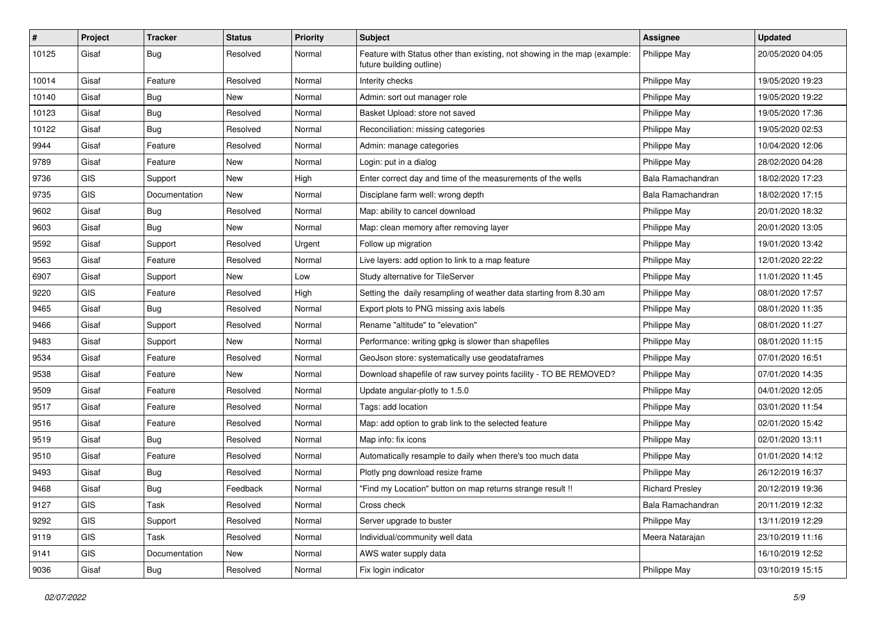| #     | Project    | <b>Tracker</b> | <b>Status</b> | <b>Priority</b> | Subject                                                                                               | Assignee               | <b>Updated</b>   |
|-------|------------|----------------|---------------|-----------------|-------------------------------------------------------------------------------------------------------|------------------------|------------------|
| 10125 | Gisaf      | <b>Bug</b>     | Resolved      | Normal          | Feature with Status other than existing, not showing in the map (example:<br>future building outline) | <b>Philippe May</b>    | 20/05/2020 04:05 |
| 10014 | Gisaf      | Feature        | Resolved      | Normal          | Interity checks                                                                                       | Philippe May           | 19/05/2020 19:23 |
| 10140 | Gisaf      | Bug            | New           | Normal          | Admin: sort out manager role                                                                          | Philippe May           | 19/05/2020 19:22 |
| 10123 | Gisaf      | Bug            | Resolved      | Normal          | Basket Upload: store not saved                                                                        | Philippe May           | 19/05/2020 17:36 |
| 10122 | Gisaf      | <b>Bug</b>     | Resolved      | Normal          | Reconciliation: missing categories                                                                    | Philippe May           | 19/05/2020 02:53 |
| 9944  | Gisaf      | Feature        | Resolved      | Normal          | Admin: manage categories                                                                              | Philippe May           | 10/04/2020 12:06 |
| 9789  | Gisaf      | Feature        | New           | Normal          | Login: put in a dialog                                                                                | Philippe May           | 28/02/2020 04:28 |
| 9736  | <b>GIS</b> | Support        | New           | High            | Enter correct day and time of the measurements of the wells                                           | Bala Ramachandran      | 18/02/2020 17:23 |
| 9735  | <b>GIS</b> | Documentation  | New           | Normal          | Disciplane farm well: wrong depth                                                                     | Bala Ramachandran      | 18/02/2020 17:15 |
| 9602  | Gisaf      | <b>Bug</b>     | Resolved      | Normal          | Map: ability to cancel download                                                                       | Philippe May           | 20/01/2020 18:32 |
| 9603  | Gisaf      | Bug            | New           | Normal          | Map: clean memory after removing layer                                                                | Philippe May           | 20/01/2020 13:05 |
| 9592  | Gisaf      | Support        | Resolved      | Urgent          | Follow up migration                                                                                   | Philippe May           | 19/01/2020 13:42 |
| 9563  | Gisaf      | Feature        | Resolved      | Normal          | Live layers: add option to link to a map feature                                                      | Philippe May           | 12/01/2020 22:22 |
| 6907  | Gisaf      | Support        | New           | Low             | Study alternative for TileServer                                                                      | Philippe May           | 11/01/2020 11:45 |
| 9220  | <b>GIS</b> | Feature        | Resolved      | High            | Setting the daily resampling of weather data starting from 8.30 am                                    | Philippe May           | 08/01/2020 17:57 |
| 9465  | Gisaf      | <b>Bug</b>     | Resolved      | Normal          | Export plots to PNG missing axis labels                                                               | Philippe May           | 08/01/2020 11:35 |
| 9466  | Gisaf      | Support        | Resolved      | Normal          | Rename "altitude" to "elevation"                                                                      | Philippe May           | 08/01/2020 11:27 |
| 9483  | Gisaf      | Support        | New           | Normal          | Performance: writing gpkg is slower than shapefiles                                                   | Philippe May           | 08/01/2020 11:15 |
| 9534  | Gisaf      | Feature        | Resolved      | Normal          | GeoJson store: systematically use geodataframes                                                       | Philippe May           | 07/01/2020 16:51 |
| 9538  | Gisaf      | Feature        | New           | Normal          | Download shapefile of raw survey points facility - TO BE REMOVED?                                     | Philippe May           | 07/01/2020 14:35 |
| 9509  | Gisaf      | Feature        | Resolved      | Normal          | Update angular-plotly to 1.5.0                                                                        | Philippe May           | 04/01/2020 12:05 |
| 9517  | Gisaf      | Feature        | Resolved      | Normal          | Tags: add location                                                                                    | Philippe May           | 03/01/2020 11:54 |
| 9516  | Gisaf      | Feature        | Resolved      | Normal          | Map: add option to grab link to the selected feature                                                  | Philippe May           | 02/01/2020 15:42 |
| 9519  | Gisaf      | <b>Bug</b>     | Resolved      | Normal          | Map info: fix icons                                                                                   | Philippe May           | 02/01/2020 13:11 |
| 9510  | Gisaf      | Feature        | Resolved      | Normal          | Automatically resample to daily when there's too much data                                            | Philippe May           | 01/01/2020 14:12 |
| 9493  | Gisaf      | <b>Bug</b>     | Resolved      | Normal          | Plotly png download resize frame                                                                      | Philippe May           | 26/12/2019 16:37 |
| 9468  | Gisaf      | Bug            | Feedback      | Normal          | "Find my Location" button on map returns strange result !!                                            | <b>Richard Presley</b> | 20/12/2019 19:36 |
| 9127  | <b>GIS</b> | Task           | Resolved      | Normal          | Cross check                                                                                           | Bala Ramachandran      | 20/11/2019 12:32 |
| 9292  | GIS        | Support        | Resolved      | Normal          | Server upgrade to buster                                                                              | Philippe May           | 13/11/2019 12:29 |
| 9119  | <b>GIS</b> | Task           | Resolved      | Normal          | Individual/community well data                                                                        | Meera Natarajan        | 23/10/2019 11:16 |
| 9141  | GIS        | Documentation  | New           | Normal          | AWS water supply data                                                                                 |                        | 16/10/2019 12:52 |
| 9036  | Gisaf      | <b>Bug</b>     | Resolved      | Normal          | Fix login indicator                                                                                   | Philippe May           | 03/10/2019 15:15 |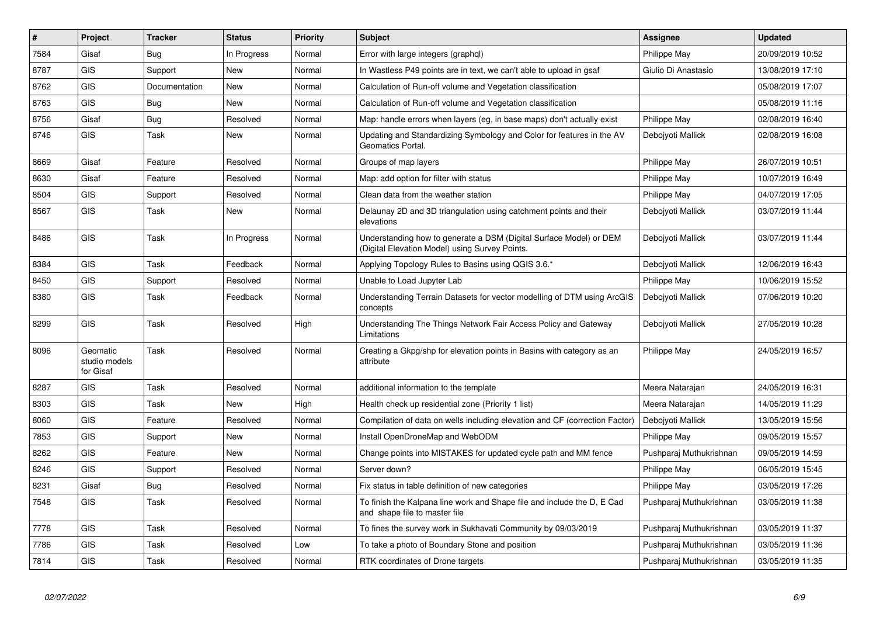| #    | Project                                | <b>Tracker</b> | <b>Status</b> | <b>Priority</b> | <b>Subject</b>                                                                                                       | <b>Assignee</b>         | <b>Updated</b>   |
|------|----------------------------------------|----------------|---------------|-----------------|----------------------------------------------------------------------------------------------------------------------|-------------------------|------------------|
| 7584 | Gisaf                                  | Bug            | In Progress   | Normal          | Error with large integers (graphgl)                                                                                  | Philippe May            | 20/09/2019 10:52 |
| 8787 | <b>GIS</b>                             | Support        | <b>New</b>    | Normal          | In Wastless P49 points are in text, we can't able to upload in gsaf                                                  | Giulio Di Anastasio     | 13/08/2019 17:10 |
| 8762 | <b>GIS</b>                             | Documentation  | <b>New</b>    | Normal          | Calculation of Run-off volume and Vegetation classification                                                          |                         | 05/08/2019 17:07 |
| 8763 | <b>GIS</b>                             | <b>Bug</b>     | <b>New</b>    | Normal          | Calculation of Run-off volume and Vegetation classification                                                          |                         | 05/08/2019 11:16 |
| 8756 | Gisaf                                  | <b>Bug</b>     | Resolved      | Normal          | Map: handle errors when layers (eg, in base maps) don't actually exist                                               | Philippe May            | 02/08/2019 16:40 |
| 8746 | <b>GIS</b>                             | Task           | <b>New</b>    | Normal          | Updating and Standardizing Symbology and Color for features in the AV<br>Geomatics Portal.                           | Debojyoti Mallick       | 02/08/2019 16:08 |
| 8669 | Gisaf                                  | Feature        | Resolved      | Normal          | Groups of map layers                                                                                                 | Philippe May            | 26/07/2019 10:51 |
| 8630 | Gisaf                                  | Feature        | Resolved      | Normal          | Map: add option for filter with status                                                                               | Philippe May            | 10/07/2019 16:49 |
| 8504 | <b>GIS</b>                             | Support        | Resolved      | Normal          | Clean data from the weather station                                                                                  | Philippe May            | 04/07/2019 17:05 |
| 8567 | <b>GIS</b>                             | Task           | New           | Normal          | Delaunay 2D and 3D triangulation using catchment points and their<br>elevations                                      | Debojyoti Mallick       | 03/07/2019 11:44 |
| 8486 | <b>GIS</b>                             | Task           | In Progress   | Normal          | Understanding how to generate a DSM (Digital Surface Model) or DEM<br>(Digital Elevation Model) using Survey Points. | Debojyoti Mallick       | 03/07/2019 11:44 |
| 8384 | <b>GIS</b>                             | Task           | Feedback      | Normal          | Applying Topology Rules to Basins using QGIS 3.6.*                                                                   | Debojyoti Mallick       | 12/06/2019 16:43 |
| 8450 | <b>GIS</b>                             | Support        | Resolved      | Normal          | Unable to Load Jupyter Lab                                                                                           | Philippe May            | 10/06/2019 15:52 |
| 8380 | <b>GIS</b>                             | Task           | Feedback      | Normal          | Understanding Terrain Datasets for vector modelling of DTM using ArcGIS<br>concepts                                  | Debojyoti Mallick       | 07/06/2019 10:20 |
| 8299 | <b>GIS</b>                             | Task           | Resolved      | High            | Understanding The Things Network Fair Access Policy and Gateway<br>Limitations                                       | Debojyoti Mallick       | 27/05/2019 10:28 |
| 8096 | Geomatic<br>studio models<br>for Gisaf | Task           | Resolved      | Normal          | Creating a Gkpg/shp for elevation points in Basins with category as an<br>attribute                                  | Philippe May            | 24/05/2019 16:57 |
| 8287 | <b>GIS</b>                             | Task           | Resolved      | Normal          | additional information to the template                                                                               | Meera Natarajan         | 24/05/2019 16:31 |
| 8303 | <b>GIS</b>                             | Task           | New           | High            | Health check up residential zone (Priority 1 list)                                                                   | Meera Natarajan         | 14/05/2019 11:29 |
| 8060 | <b>GIS</b>                             | Feature        | Resolved      | Normal          | Compilation of data on wells including elevation and CF (correction Factor)                                          | Debojyoti Mallick       | 13/05/2019 15:56 |
| 7853 | <b>GIS</b>                             | Support        | <b>New</b>    | Normal          | Install OpenDroneMap and WebODM                                                                                      | Philippe May            | 09/05/2019 15:57 |
| 8262 | <b>GIS</b>                             | Feature        | <b>New</b>    | Normal          | Change points into MISTAKES for updated cycle path and MM fence                                                      | Pushparaj Muthukrishnan | 09/05/2019 14:59 |
| 8246 | <b>GIS</b>                             | Support        | Resolved      | Normal          | Server down?                                                                                                         | Philippe May            | 06/05/2019 15:45 |
| 8231 | Gisaf                                  | Bug            | Resolved      | Normal          | Fix status in table definition of new categories                                                                     | Philippe May            | 03/05/2019 17:26 |
| 7548 | <b>GIS</b>                             | Task           | Resolved      | Normal          | To finish the Kalpana line work and Shape file and include the D, E Cad<br>and shape file to master file             | Pushparaj Muthukrishnan | 03/05/2019 11:38 |
| 7778 | <b>GIS</b>                             | Task           | Resolved      | Normal          | To fines the survey work in Sukhavati Community by 09/03/2019                                                        | Pushparaj Muthukrishnan | 03/05/2019 11:37 |
| 7786 | <b>GIS</b>                             | Task           | Resolved      | Low             | To take a photo of Boundary Stone and position                                                                       | Pushparaj Muthukrishnan | 03/05/2019 11:36 |
| 7814 | <b>GIS</b>                             | Task           | Resolved      | Normal          | RTK coordinates of Drone targets                                                                                     | Pushparaj Muthukrishnan | 03/05/2019 11:35 |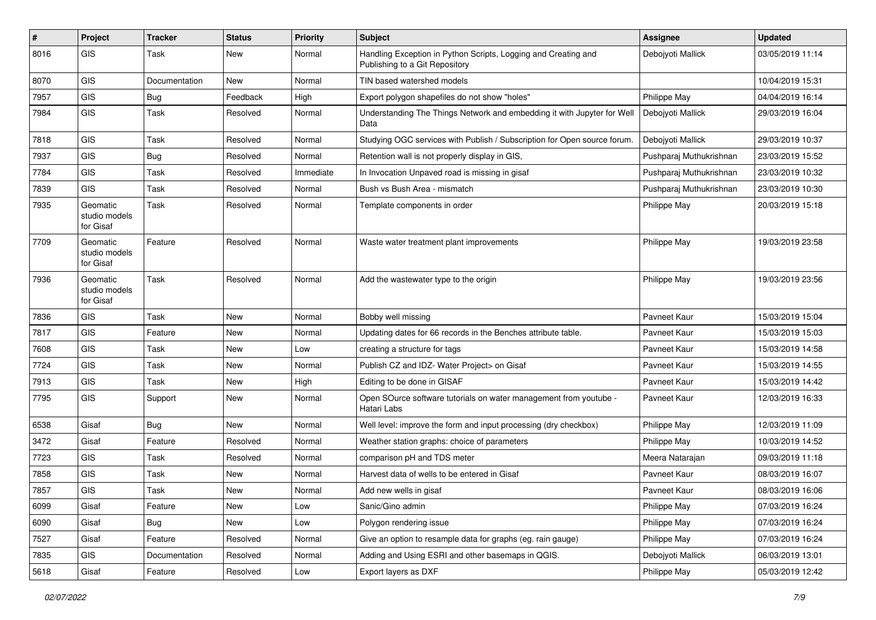| #    | Project                                | <b>Tracker</b> | <b>Status</b> | <b>Priority</b> | Subject                                                                                          | <b>Assignee</b>         | <b>Updated</b>   |
|------|----------------------------------------|----------------|---------------|-----------------|--------------------------------------------------------------------------------------------------|-------------------------|------------------|
| 8016 | GIS                                    | Task           | New           | Normal          | Handling Exception in Python Scripts, Logging and Creating and<br>Publishing to a Git Repository | Debojyoti Mallick       | 03/05/2019 11:14 |
| 8070 | GIS                                    | Documentation  | <b>New</b>    | Normal          | TIN based watershed models                                                                       |                         | 10/04/2019 15:31 |
| 7957 | GIS                                    | <b>Bug</b>     | Feedback      | High            | Export polygon shapefiles do not show "holes"                                                    | Philippe May            | 04/04/2019 16:14 |
| 7984 | GIS                                    | Task           | Resolved      | Normal          | Understanding The Things Network and embedding it with Jupyter for Well<br>Data                  | Debojyoti Mallick       | 29/03/2019 16:04 |
| 7818 | GIS                                    | Task           | Resolved      | Normal          | Studying OGC services with Publish / Subscription for Open source forum.                         | Debojyoti Mallick       | 29/03/2019 10:37 |
| 7937 | GIS                                    | <b>Bug</b>     | Resolved      | Normal          | Retention wall is not properly display in GIS,                                                   | Pushparaj Muthukrishnan | 23/03/2019 15:52 |
| 7784 | GIS                                    | Task           | Resolved      | Immediate       | In Invocation Unpaved road is missing in gisaf                                                   | Pushparaj Muthukrishnan | 23/03/2019 10:32 |
| 7839 | GIS                                    | Task           | Resolved      | Normal          | Bush vs Bush Area - mismatch                                                                     | Pushparaj Muthukrishnan | 23/03/2019 10:30 |
| 7935 | Geomatic<br>studio models<br>for Gisaf | <b>Task</b>    | Resolved      | Normal          | Template components in order                                                                     | Philippe May            | 20/03/2019 15:18 |
| 7709 | Geomatic<br>studio models<br>for Gisaf | Feature        | Resolved      | Normal          | Waste water treatment plant improvements                                                         | Philippe May            | 19/03/2019 23:58 |
| 7936 | Geomatic<br>studio models<br>for Gisaf | <b>Task</b>    | Resolved      | Normal          | Add the wastewater type to the origin                                                            | Philippe May            | 19/03/2019 23:56 |
| 7836 | GIS                                    | <b>Task</b>    | New           | Normal          | Bobby well missing                                                                               | Pavneet Kaur            | 15/03/2019 15:04 |
| 7817 | GIS                                    | Feature        | New           | Normal          | Updating dates for 66 records in the Benches attribute table.                                    | Pavneet Kaur            | 15/03/2019 15:03 |
| 7608 | GIS                                    | Task           | New           | Low             | creating a structure for tags                                                                    | Pavneet Kaur            | 15/03/2019 14:58 |
| 7724 | GIS                                    | Task           | <b>New</b>    | Normal          | Publish CZ and IDZ- Water Project> on Gisaf                                                      | Pavneet Kaur            | 15/03/2019 14:55 |
| 7913 | GIS                                    | <b>Task</b>    | New           | High            | Editing to be done in GISAF                                                                      | Pavneet Kaur            | 15/03/2019 14:42 |
| 7795 | GIS                                    | Support        | New           | Normal          | Open SOurce software tutorials on water management from youtube -<br>Hatari Labs                 | Pavneet Kaur            | 12/03/2019 16:33 |
| 6538 | Gisaf                                  | Bug            | New           | Normal          | Well level: improve the form and input processing (dry checkbox)                                 | Philippe May            | 12/03/2019 11:09 |
| 3472 | Gisaf                                  | Feature        | Resolved      | Normal          | Weather station graphs: choice of parameters                                                     | Philippe May            | 10/03/2019 14:52 |
| 7723 | GIS                                    | <b>Task</b>    | Resolved      | Normal          | comparison pH and TDS meter                                                                      | Meera Natarajan         | 09/03/2019 11:18 |
| 7858 | <b>GIS</b>                             | Task           | New           | Normal          | Harvest data of wells to be entered in Gisaf                                                     | Pavneet Kaur            | 08/03/2019 16:07 |
| 7857 | GIS                                    | Task           | New           | Normal          | Add new wells in gisaf                                                                           | Pavneet Kaur            | 08/03/2019 16:06 |
| 6099 | Gisaf                                  | Feature        | <b>New</b>    | Low             | Sanic/Gino admin                                                                                 | Philippe May            | 07/03/2019 16:24 |
| 6090 | Gisaf                                  | <b>Bug</b>     | New           | Low             | Polygon rendering issue                                                                          | Philippe May            | 07/03/2019 16:24 |
| 7527 | Gisaf                                  | Feature        | Resolved      | Normal          | Give an option to resample data for graphs (eg. rain gauge)                                      | Philippe May            | 07/03/2019 16:24 |
| 7835 | GIS                                    | Documentation  | Resolved      | Normal          | Adding and Using ESRI and other basemaps in QGIS.                                                | Debojyoti Mallick       | 06/03/2019 13:01 |
| 5618 | Gisaf                                  | Feature        | Resolved      | Low             | Export layers as DXF                                                                             | Philippe May            | 05/03/2019 12:42 |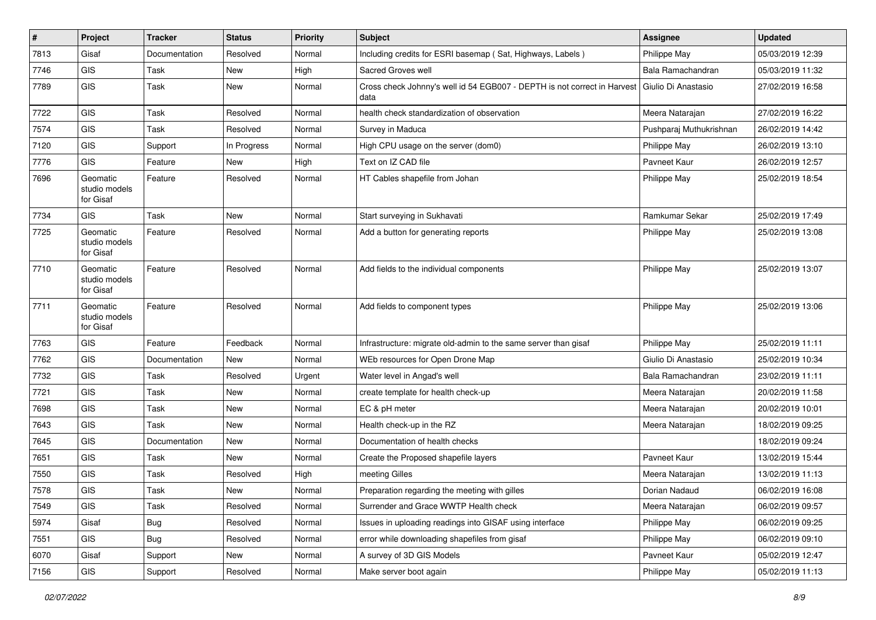| $\vert$ # | Project                                | <b>Tracker</b> | <b>Status</b> | <b>Priority</b> | Subject                                                                          | <b>Assignee</b>         | <b>Updated</b>   |
|-----------|----------------------------------------|----------------|---------------|-----------------|----------------------------------------------------------------------------------|-------------------------|------------------|
| 7813      | Gisaf                                  | Documentation  | Resolved      | Normal          | Including credits for ESRI basemap (Sat, Highways, Labels)                       | Philippe May            | 05/03/2019 12:39 |
| 7746      | GIS                                    | Task           | <b>New</b>    | High            | Sacred Groves well                                                               | Bala Ramachandran       | 05/03/2019 11:32 |
| 7789      | GIS                                    | Task           | <b>New</b>    | Normal          | Cross check Johnny's well id 54 EGB007 - DEPTH is not correct in Harvest<br>data | Giulio Di Anastasio     | 27/02/2019 16:58 |
| 7722      | GIS                                    | Task           | Resolved      | Normal          | health check standardization of observation                                      | Meera Natarajan         | 27/02/2019 16:22 |
| 7574      | GIS                                    | Task           | Resolved      | Normal          | Survey in Maduca                                                                 | Pushparaj Muthukrishnan | 26/02/2019 14:42 |
| 7120      | GIS                                    | Support        | In Progress   | Normal          | High CPU usage on the server (dom0)                                              | Philippe May            | 26/02/2019 13:10 |
| 7776      | <b>GIS</b>                             | Feature        | <b>New</b>    | High            | Text on IZ CAD file                                                              | Pavneet Kaur            | 26/02/2019 12:57 |
| 7696      | Geomatic<br>studio models<br>for Gisaf | Feature        | Resolved      | Normal          | HT Cables shapefile from Johan                                                   | Philippe May            | 25/02/2019 18:54 |
| 7734      | <b>GIS</b>                             | Task           | New           | Normal          | Start surveying in Sukhavati                                                     | Ramkumar Sekar          | 25/02/2019 17:49 |
| 7725      | Geomatic<br>studio models<br>for Gisaf | Feature        | Resolved      | Normal          | Add a button for generating reports                                              | Philippe May            | 25/02/2019 13:08 |
| 7710      | Geomatic<br>studio models<br>for Gisaf | Feature        | Resolved      | Normal          | Add fields to the individual components                                          | Philippe May            | 25/02/2019 13:07 |
| 7711      | Geomatic<br>studio models<br>for Gisaf | Feature        | Resolved      | Normal          | Add fields to component types                                                    | Philippe May            | 25/02/2019 13:06 |
| 7763      | GIS                                    | Feature        | Feedback      | Normal          | Infrastructure: migrate old-admin to the same server than gisaf                  | Philippe May            | 25/02/2019 11:11 |
| 7762      | <b>GIS</b>                             | Documentation  | New           | Normal          | WEb resources for Open Drone Map                                                 | Giulio Di Anastasio     | 25/02/2019 10:34 |
| 7732      | <b>GIS</b>                             | Task           | Resolved      | Urgent          | Water level in Angad's well                                                      | Bala Ramachandran       | 23/02/2019 11:11 |
| 7721      | <b>GIS</b>                             | Task           | New           | Normal          | create template for health check-up                                              | Meera Natarajan         | 20/02/2019 11:58 |
| 7698      | GIS                                    | Task           | New           | Normal          | EC & pH meter                                                                    | Meera Natarajan         | 20/02/2019 10:01 |
| 7643      | GIS                                    | Task           | <b>New</b>    | Normal          | Health check-up in the RZ                                                        | Meera Natarajan         | 18/02/2019 09:25 |
| 7645      | GIS                                    | Documentation  | New           | Normal          | Documentation of health checks                                                   |                         | 18/02/2019 09:24 |
| 7651      | GIS                                    | Task           | New           | Normal          | Create the Proposed shapefile layers                                             | Pavneet Kaur            | 13/02/2019 15:44 |
| 7550      | GIS                                    | Task           | Resolved      | High            | meeting Gilles                                                                   | Meera Natarajan         | 13/02/2019 11:13 |
| 7578      | GIS                                    | Task           | <b>New</b>    | Normal          | Preparation regarding the meeting with gilles                                    | Dorian Nadaud           | 06/02/2019 16:08 |
| 7549      | <b>GIS</b>                             | Task           | Resolved      | Normal          | Surrender and Grace WWTP Health check                                            | Meera Natarajan         | 06/02/2019 09:57 |
| 5974      | Gisaf                                  | <b>Bug</b>     | Resolved      | Normal          | Issues in uploading readings into GISAF using interface                          | Philippe May            | 06/02/2019 09:25 |
| 7551      | GIS                                    | <b>Bug</b>     | Resolved      | Normal          | error while downloading shapefiles from gisaf                                    | Philippe May            | 06/02/2019 09:10 |
| 6070      | Gisaf                                  | Support        | New           | Normal          | A survey of 3D GIS Models                                                        | Pavneet Kaur            | 05/02/2019 12:47 |
| 7156      | GIS                                    | Support        | Resolved      | Normal          | Make server boot again                                                           | Philippe May            | 05/02/2019 11:13 |